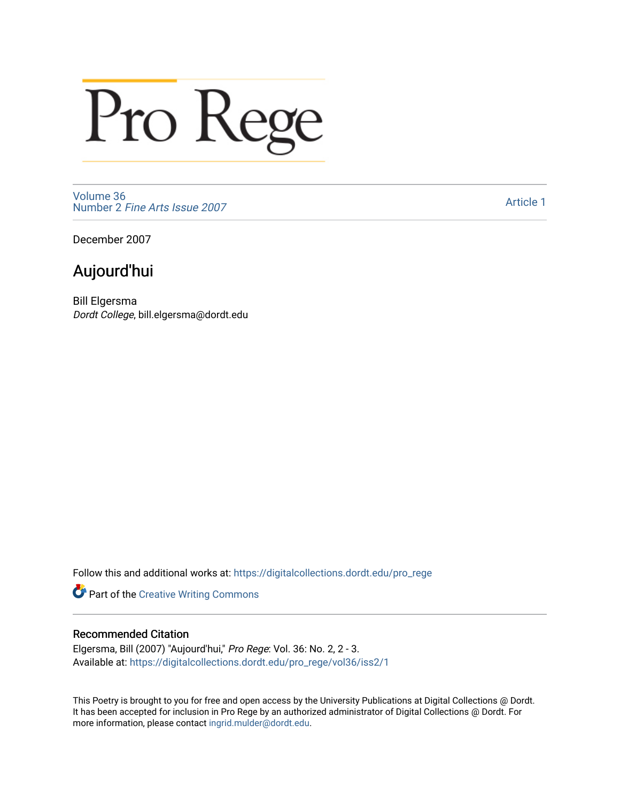## Pro Rege

[Volume 36](https://digitalcollections.dordt.edu/pro_rege/vol36) Number 2 [Fine Arts Issue 2007](https://digitalcollections.dordt.edu/pro_rege/vol36/iss2) 

[Article 1](https://digitalcollections.dordt.edu/pro_rege/vol36/iss2/1) 

December 2007

## Aujourd'hui

Bill Elgersma Dordt College, bill.elgersma@dordt.edu

Follow this and additional works at: [https://digitalcollections.dordt.edu/pro\\_rege](https://digitalcollections.dordt.edu/pro_rege?utm_source=digitalcollections.dordt.edu%2Fpro_rege%2Fvol36%2Fiss2%2F1&utm_medium=PDF&utm_campaign=PDFCoverPages) 

Part of the [Creative Writing Commons](http://network.bepress.com/hgg/discipline/574?utm_source=digitalcollections.dordt.edu%2Fpro_rege%2Fvol36%2Fiss2%2F1&utm_medium=PDF&utm_campaign=PDFCoverPages) 

## Recommended Citation

Elgersma, Bill (2007) "Aujourd'hui," Pro Rege: Vol. 36: No. 2, 2 - 3. Available at: [https://digitalcollections.dordt.edu/pro\\_rege/vol36/iss2/1](https://digitalcollections.dordt.edu/pro_rege/vol36/iss2/1?utm_source=digitalcollections.dordt.edu%2Fpro_rege%2Fvol36%2Fiss2%2F1&utm_medium=PDF&utm_campaign=PDFCoverPages) 

This Poetry is brought to you for free and open access by the University Publications at Digital Collections @ Dordt. It has been accepted for inclusion in Pro Rege by an authorized administrator of Digital Collections @ Dordt. For more information, please contact [ingrid.mulder@dordt.edu.](mailto:ingrid.mulder@dordt.edu)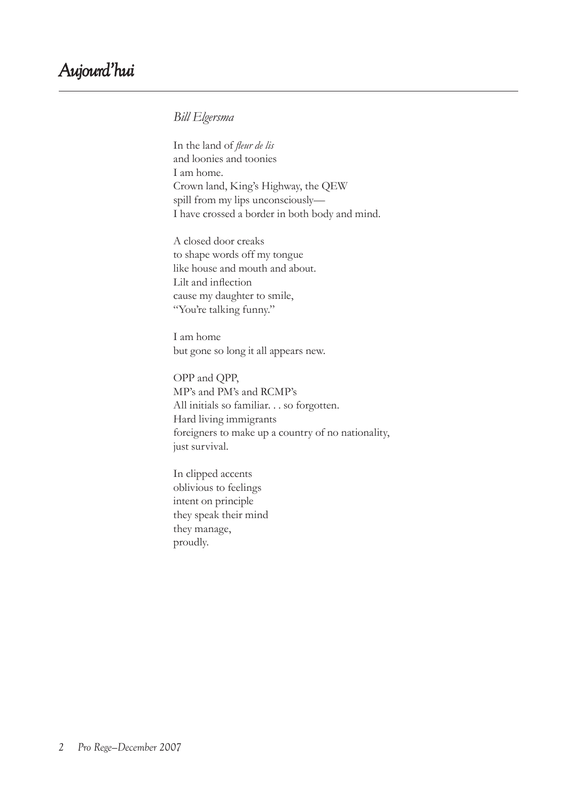## *Bill Elgersma*

In the land of *fleur de lis* and loonies and toonies I am home. Crown land, King's Highway, the QEW spill from my lips unconsciously— I have crossed a border in both body and mind.

A closed door creaks to shape words off my tongue like house and mouth and about. Lilt and inflection cause my daughter to smile, "You're talking funny."

I am home but gone so long it all appears new.

OPP and QPP, MP's and PM's and RCMP's All initials so familiar. . . so forgotten. Hard living immigrants foreigners to make up a country of no nationality, just survival.

In clipped accents oblivious to feelings intent on principle they speak their mind they manage, proudly.